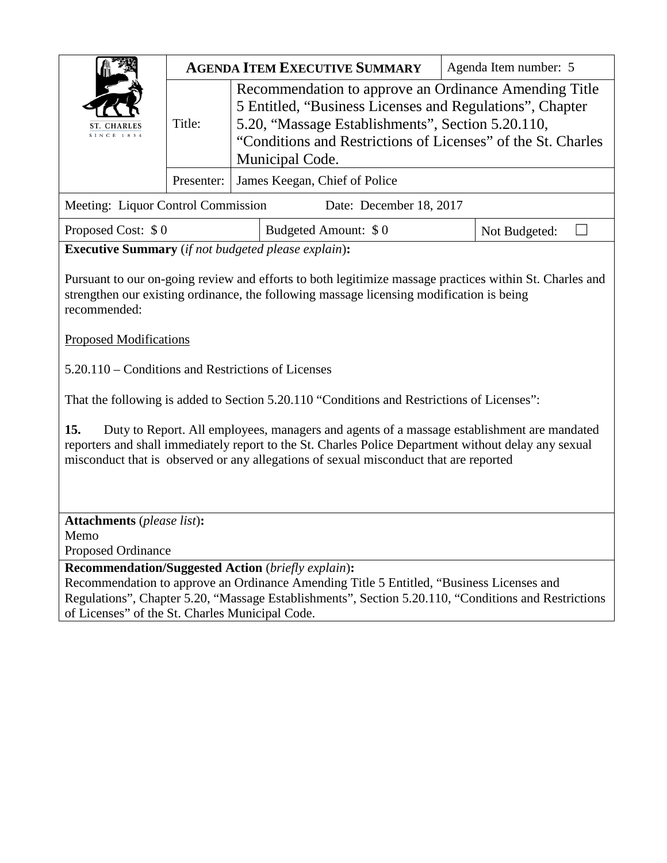|                                                            |            | <b>AGENDA ITEM EXECUTIVE SUMMARY</b>                                                                                                                                                                                                                                                        | Agenda Item number: 5 |
|------------------------------------------------------------|------------|---------------------------------------------------------------------------------------------------------------------------------------------------------------------------------------------------------------------------------------------------------------------------------------------|-----------------------|
| <b>SINCE 1834</b>                                          | Title:     | Recommendation to approve an Ordinance Amending Title<br>5 Entitled, "Business Licenses and Regulations", Chapter<br>5.20, "Massage Establishments", Section 5.20.110,<br>"Conditions and Restrictions of Licenses" of the St. Charles<br>Municipal Code.                                   |                       |
|                                                            | Presenter: | James Keegan, Chief of Police                                                                                                                                                                                                                                                               |                       |
| Meeting: Liquor Control Commission                         |            | Date: December 18, 2017                                                                                                                                                                                                                                                                     |                       |
| Proposed Cost: \$0                                         |            | Budgeted Amount: \$0                                                                                                                                                                                                                                                                        | Not Budgeted:         |
| <b>Executive Summary</b> (if not budgeted please explain): |            |                                                                                                                                                                                                                                                                                             |                       |
| recommended:<br><b>Proposed Modifications</b>              |            | strengthen our existing ordinance, the following massage licensing modification is being<br>5.20.110 – Conditions and Restrictions of Licenses                                                                                                                                              |                       |
|                                                            |            | That the following is added to Section 5.20.110 "Conditions and Restrictions of Licenses":                                                                                                                                                                                                  |                       |
| 15.                                                        |            | Duty to Report. All employees, managers and agents of a massage establishment are mandated<br>reporters and shall immediately report to the St. Charles Police Department without delay any sexual<br>misconduct that is observed or any allegations of sexual misconduct that are reported |                       |
|                                                            |            |                                                                                                                                                                                                                                                                                             |                       |
| <b>Attachments</b> (please list):<br>Memo                  |            |                                                                                                                                                                                                                                                                                             |                       |
| Proposed Ordinance                                         |            | <b>Recommendation/Suggested Action (briefly explain):</b>                                                                                                                                                                                                                                   |                       |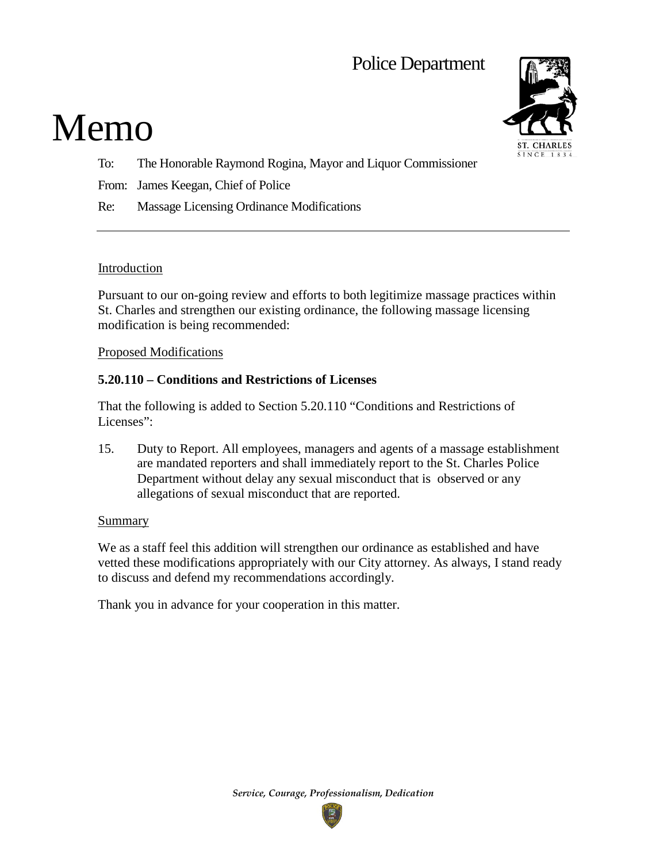# Police Department

# Memo



- To: The Honorable Raymond Rogina, Mayor and Liquor Commissioner
- From: James Keegan, Chief of Police
- Re: Massage Licensing Ordinance Modifications

## Introduction

Pursuant to our on-going review and efforts to both legitimize massage practices within St. Charles and strengthen our existing ordinance, the following massage licensing modification is being recommended:

#### Proposed Modifications

## **5.20.110 – Conditions and Restrictions of Licenses**

That the following is added to Section 5.20.110 "Conditions and Restrictions of Licenses":

15. Duty to Report. All employees, managers and agents of a massage establishment are mandated reporters and shall immediately report to the St. Charles Police Department without delay any sexual misconduct that is observed or any allegations of sexual misconduct that are reported.

#### Summary

We as a staff feel this addition will strengthen our ordinance as established and have vetted these modifications appropriately with our City attorney. As always, I stand ready to discuss and defend my recommendations accordingly.

Thank you in advance for your cooperation in this matter.

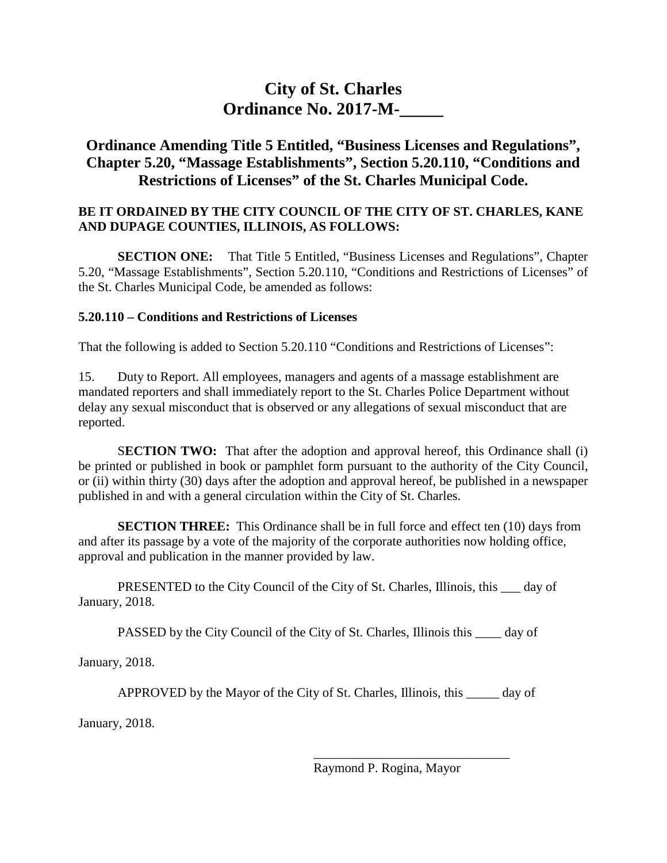## **City of St. Charles Ordinance No. 2017-M-\_\_\_\_\_**

## **Ordinance Amending Title 5 Entitled, "Business Licenses and Regulations", Chapter 5.20, "Massage Establishments", Section 5.20.110, "Conditions and Restrictions of Licenses" of the St. Charles Municipal Code.**

## **BE IT ORDAINED BY THE CITY COUNCIL OF THE CITY OF ST. CHARLES, KANE AND DUPAGE COUNTIES, ILLINOIS, AS FOLLOWS:**

**SECTION ONE:** That Title 5 Entitled, "Business Licenses and Regulations", Chapter 5.20, "Massage Establishments", Section 5.20.110, "Conditions and Restrictions of Licenses" of the St. Charles Municipal Code, be amended as follows:

## **5.20.110 – Conditions and Restrictions of Licenses**

That the following is added to Section 5.20.110 "Conditions and Restrictions of Licenses":

15. Duty to Report. All employees, managers and agents of a massage establishment are mandated reporters and shall immediately report to the St. Charles Police Department without delay any sexual misconduct that is observed or any allegations of sexual misconduct that are reported.

**SECTION TWO:** That after the adoption and approval hereof, this Ordinance shall (i) be printed or published in book or pamphlet form pursuant to the authority of the City Council, or (ii) within thirty (30) days after the adoption and approval hereof, be published in a newspaper published in and with a general circulation within the City of St. Charles.

**SECTION THREE:** This Ordinance shall be in full force and effect ten (10) days from and after its passage by a vote of the majority of the corporate authorities now holding office, approval and publication in the manner provided by law.

PRESENTED to the City Council of the City of St. Charles, Illinois, this \_\_\_ day of January, 2018.

PASSED by the City Council of the City of St. Charles, Illinois this \_\_\_\_ day of

January, 2018.

APPROVED by the Mayor of the City of St. Charles, Illinois, this \_\_\_\_\_ day of

January, 2018.

\_\_\_\_\_\_\_\_\_\_\_\_\_\_\_\_\_\_\_\_\_\_\_\_\_\_\_\_\_\_ Raymond P. Rogina, Mayor